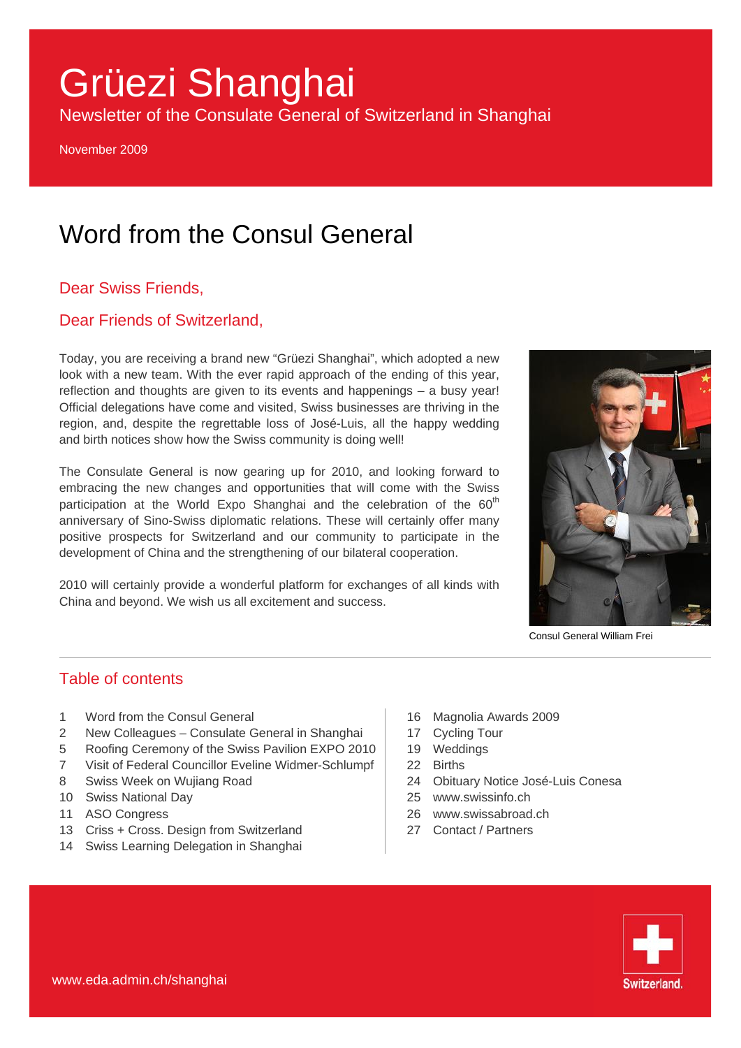# Grüezi Shanghai

Newsletter of the Consulate General of Switzerland in Shanghai

November 2009

## Word from the Consul General

#### Dear Swiss Friends,

#### Dear Friends of Switzerland,

Today, you are receiving a brand new "Grüezi Shanghai", which adopted a new look with a new team. With the ever rapid approach of the ending of this year, reflection and thoughts are given to its events and happenings – a busy year! Official delegations have come and visited, Swiss businesses are thriving in the region, and, despite the regrettable loss of José-Luis, all the happy wedding and birth notices show how the Swiss community is doing well!

The Consulate General is now gearing up for 2010, and looking forward to embracing the new changes and opportunities that will come with the Swiss participation at the World Expo Shanghai and the celebration of the  $60<sup>th</sup>$ anniversary of Sino-Swiss diplomatic relations. These will certainly offer many positive prospects for Switzerland and our community to participate in the development of China and the strengthening of our bilateral cooperation.

2010 will certainly provide a wonderful platform for exchanges of all kinds with China and beyond. We wish us all excitement and success.



Consul General William Frei

#### Table of contents

- 1 Word from the Consul General
- 2 New Colleagues Consulate General in Shanghai
- 5 Roofing Ceremony of the Swiss Pavilion EXPO 2010
- 7 Visit of Federal Councillor Eveline Widmer-Schlumpf
- 8 Swiss Week on Wujiang Road
- 10 Swiss National Day
- 11 ASO Congress
- 13 Criss + Cross. Design from Switzerland
- 14 Swiss Learning Delegation in Shanghai
- 16 Magnolia Awards 2009
- 17 Cycling Tour
- 19 Weddings
- 22 Births
- 24 Obituary Notice José-Luis Conesa
- 25 [www.swissinfo.ch](http://www.swissinfo.ch/)
- 26 [www.swissabroad.ch](http://www.swissabroad.ch/)
- 27 Contact / Partners

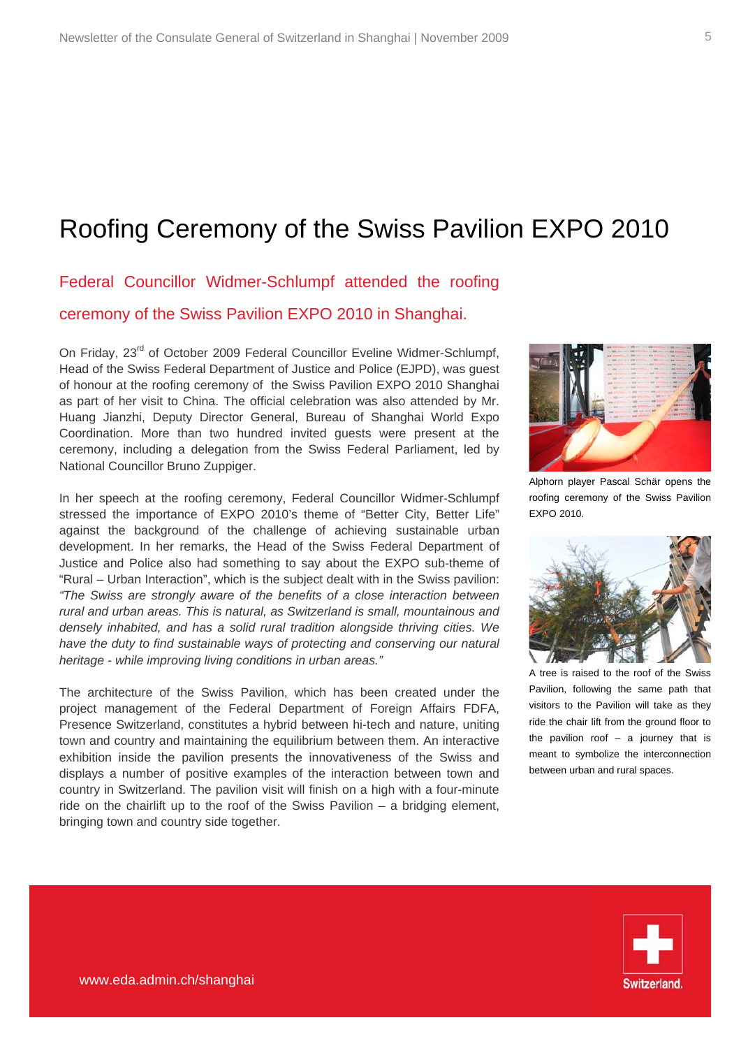### Roofing Ceremony of the Swiss Pavilion EXPO 2010

Federal Councillor Widmer-Schlumpf attended the roofing ceremony of the Swiss Pavilion EXPO 2010 in Shanghai.

On Friday, 23<sup>rd</sup> of October 2009 Federal Councillor Eveline Widmer-Schlumpf, Head of the Swiss Federal Department of Justice and Police (EJPD), was guest of honour at the roofing ceremony of the Swiss Pavilion EXPO 2010 Shanghai as part of her visit to China. The official celebration was also attended by Mr. Huang Jianzhi, Deputy Director General, Bureau of Shanghai World Expo Coordination. More than two hundred invited guests were present at the ceremony, including a delegation from the Swiss Federal Parliament, led by National Councillor Bruno Zuppiger.

In her speech at the roofing ceremony, Federal Councillor Widmer-Schlumpf stressed the importance of EXPO 2010's theme of "Better City, Better Life" against the background of the challenge of achieving sustainable urban development. In her remarks, the Head of the Swiss Federal Department of Justice and Police also had something to say about the EXPO sub-theme of "Rural – Urban Interaction", which is the subject dealt with in the Swiss pavilion: *"The Swiss are strongly aware of the benefits of a close interaction between rural and urban areas. This is natural, as Switzerland is small, mountainous and densely inhabited, and has a solid rural tradition alongside thriving cities. We have the duty to find sustainable ways of protecting and conserving our natural heritage - while improving living conditions in urban areas."*

The architecture of the Swiss Pavilion, which has been created under the project management of the Federal Department of Foreign Affairs FDFA, Presence Switzerland, constitutes a hybrid between hi-tech and nature, uniting town and country and maintaining the equilibrium between them. An interactive exhibition inside the pavilion presents the innovativeness of the Swiss and displays a number of positive examples of the interaction between town and country in Switzerland. The pavilion visit will finish on a high with a four-minute ride on the chairlift up to the roof of the Swiss Pavilion – a bridging element, bringing town and country side together.



Alphorn player Pascal Schär opens the roofing ceremony of the Swiss Pavilion EXPO 2010.



A tree is raised to the roof of the Swiss Pavilion, following the same path that visitors to the Pavilion will take as they ride the chair lift from the ground floor to the pavilion roof  $-$  a journey that is meant to symbolize the interconnection between urban and rural spaces.

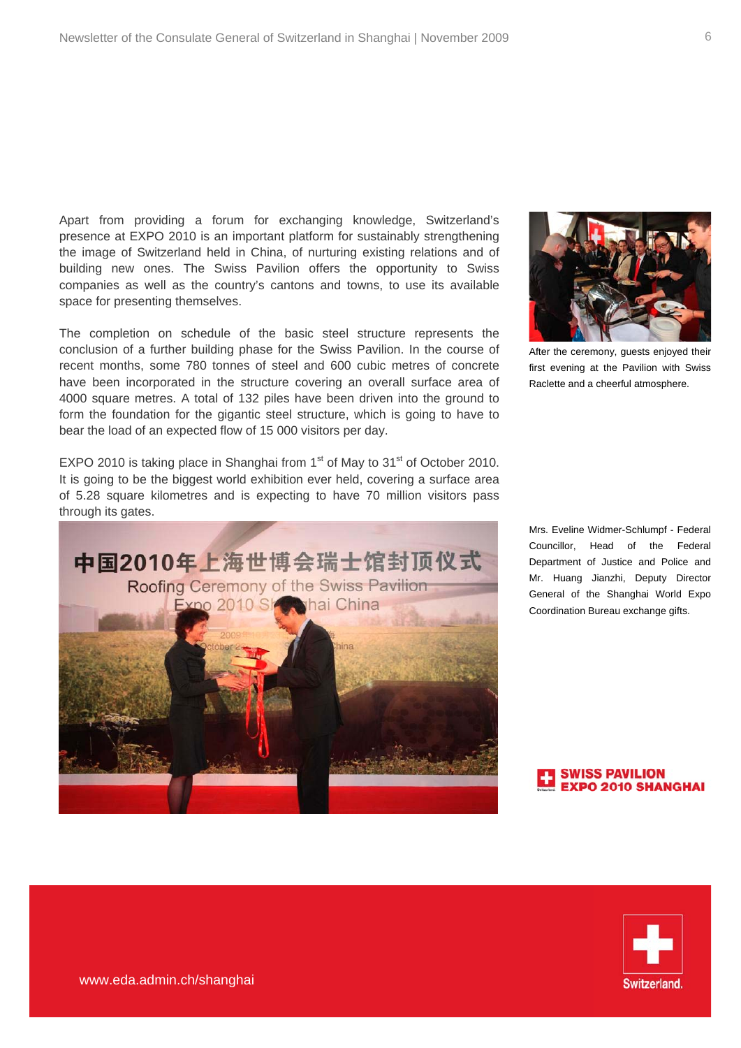Apart from providing a forum for exchanging knowledge, Switzerland's presence at EXPO 2010 is an important platform for sustainably strengthening the image of Switzerland held in China, of nurturing existing relations and of building new ones. The Swiss Pavilion offers the opportunity to Swiss companies as well as the country's cantons and towns, to use its available space for presenting themselves.

The completion on schedule of the basic steel structure represents the conclusion of a further building phase for the Swiss Pavilion. In the course of recent months, some 780 tonnes of steel and 600 cubic metres of concrete have been incorporated in the structure covering an overall surface area of 4000 square metres. A total of 132 piles have been driven into the ground to form the foundation for the gigantic steel structure, which is going to have to bear the load of an expected flow of 15 000 visitors per day.

EXPO 2010 is taking place in Shanghai from  $1<sup>st</sup>$  of May to  $31<sup>st</sup>$  of October 2010. It is going to be the biggest world exhibition ever held, covering a surface area of 5.28 square kilometres and is expecting to have 70 million visitors pass through its gates.



After the ceremony, guests enjoyed their first evening at the Pavilion with Swiss Raclette and a cheerful atmosphere.

Mrs. Eveline Widmer-Schlumpf - Federal Councillor, Head of the Federal Department of Justice and Police and Mr. Huang Jianzhi, Deputy Director General of the Shanghai World Expo Coordination Bureau exchange gifts.

**SWISS PAVILION** O 2010 SHANGHAI

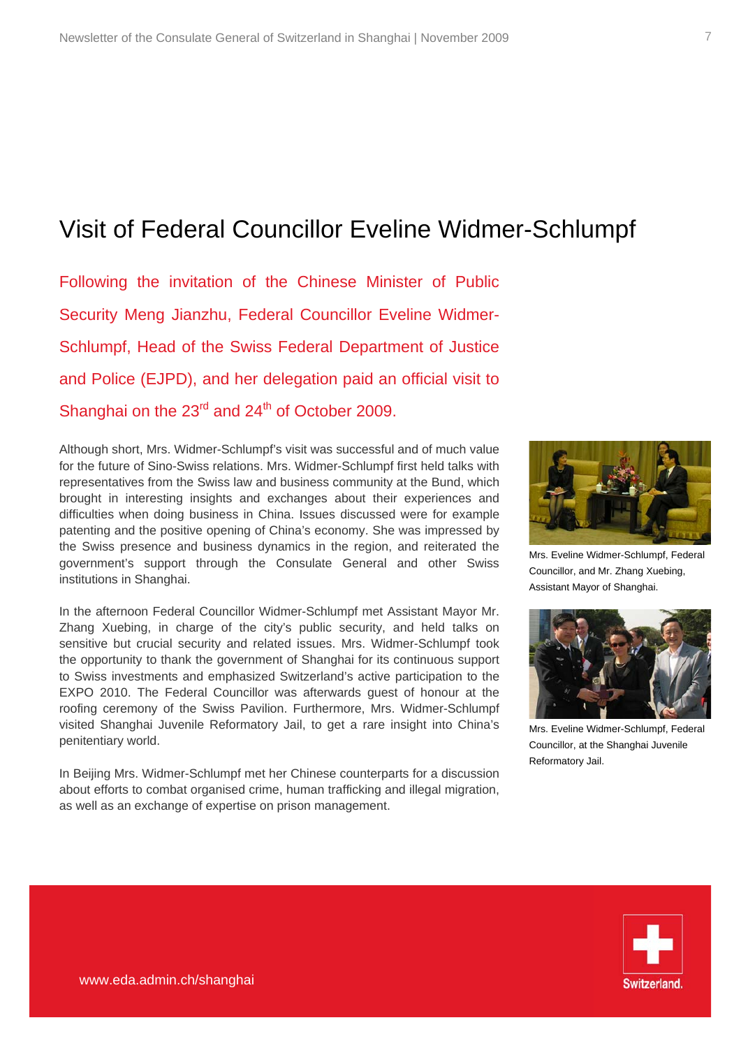### Visit of Federal Councillor Eveline Widmer-Schlumpf

Following the invitation of the Chinese Minister of Public Security Meng Jianzhu, Federal Councillor Eveline Widmer-Schlumpf, Head of the Swiss Federal Department of Justice and Police (EJPD), and her delegation paid an official visit to Shanghai on the  $23<sup>rd</sup>$  and  $24<sup>th</sup>$  of October 2009.

Although short, Mrs. Widmer-Schlumpf's visit was successful and of much value for the future of Sino-Swiss relations. Mrs. Widmer-Schlumpf first held talks with representatives from the Swiss law and business community at the Bund, which brought in interesting insights and exchanges about their experiences and difficulties when doing business in China. Issues discussed were for example patenting and the positive opening of China's economy. She was impressed by the Swiss presence and business dynamics in the region, and reiterated the government's support through the Consulate General and other Swiss institutions in Shanghai.

In the afternoon Federal Councillor Widmer-Schlumpf met Assistant Mayor Mr. Zhang Xuebing, in charge of the city's public security, and held talks on sensitive but crucial security and related issues. Mrs. Widmer-Schlumpf took the opportunity to thank the government of Shanghai for its continuous support to Swiss investments and emphasized Switzerland's active participation to the EXPO 2010. The Federal Councillor was afterwards guest of honour at the roofing ceremony of the Swiss Pavilion. Furthermore, Mrs. Widmer-Schlumpf visited Shanghai Juvenile Reformatory Jail, to get a rare insight into China's penitentiary world.

In Beijing Mrs. Widmer-Schlumpf met her Chinese counterparts for a discussion about efforts to combat organised crime, human trafficking and illegal migration, as well as an exchange of expertise on prison management.



Mrs. Eveline Widmer-Schlumpf, Federal Councillor, and Mr. Zhang Xuebing, Assistant Mayor of Shanghai.



Mrs. Eveline Widmer-Schlumpf, Federal Councillor, at the Shanghai Juvenile Reformatory Jail.

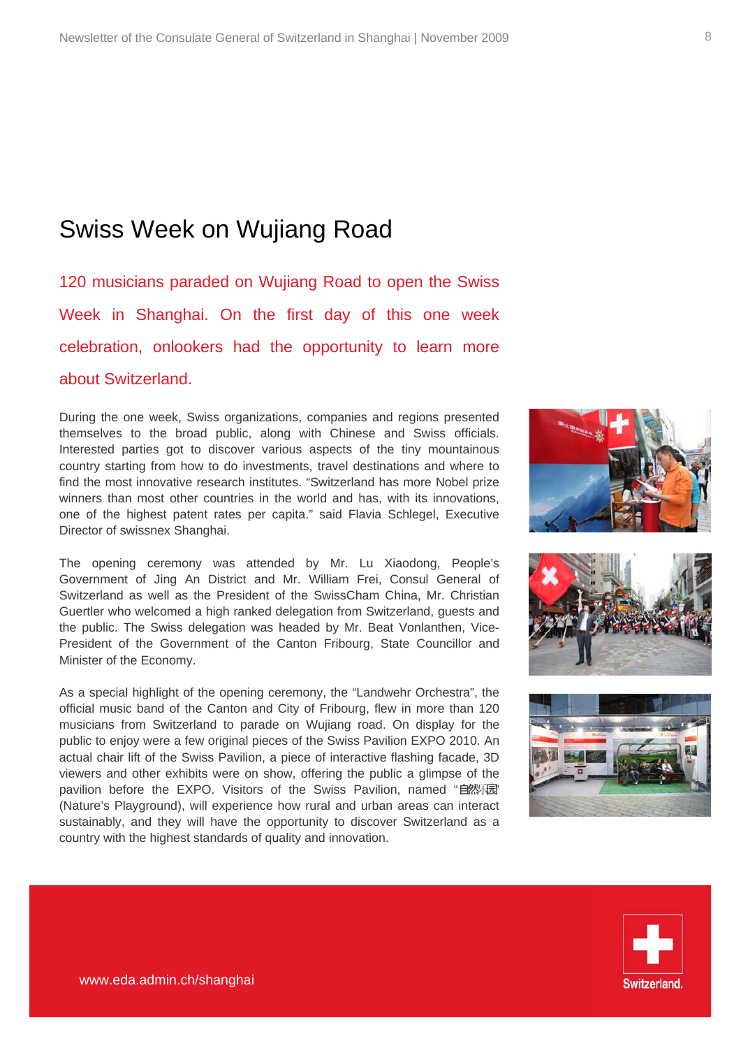### Swiss Week on Wujiang Road

120 musicians paraded on Wujiang Road to open the Swiss Week in Shanghai. On the first day of this one week celebration, onlookers had the opportunity to learn more about Switzerland.

During the one week, Swiss organizations, companies and regions presented themselves to the broad public, along with Chinese and Swiss officials. Interested parties got to discover various aspects of the tiny mountainous country starting from how to do investments, travel destinations and where to find the most innovative research institutes. "Switzerland has more Nobel prize winners than most other countries in the world and has, with its innovations, one of the highest patent rates per capita." said Flavia Schlegel, Executive Director of swissnex Shanghai.

The opening ceremony was attended by Mr. Lu Xiaodong, People's Government of Jing An District and Mr. William Frei, Consul General of Switzerland as well as the President of the SwissCham China, Mr. Christian Guertler who welcomed a high ranked delegation from Switzerland, guests and the public. The Swiss delegation was headed by Mr. Beat Vonlanthen, Vice-President of the Government of the Canton Fribourg, State Councillor and Minister of the Economy.

As a special highlight of the opening ceremony, the "Landwehr Orchestra", the official music band of the Canton and City of Fribourg, flew in more than 120 musicians from Switzerland to parade on Wujiang road. On display for the public to enjoy were a few original pieces of the Swiss Pavilion EXPO 2010. An actual chair lift of the Swiss Pavilion, a piece of interactive flashing facade, 3D viewers and other exhibits were on show, offering the public a glimpse of the pavilion before the EXPO. Visitors of the Swiss Pavilion, named "自然同" (Nature's Playground), will experience how rural and urban areas can interact sustainably, and they will have the opportunity to discover Switzerland as a country with the highest standards of quality and innovation.







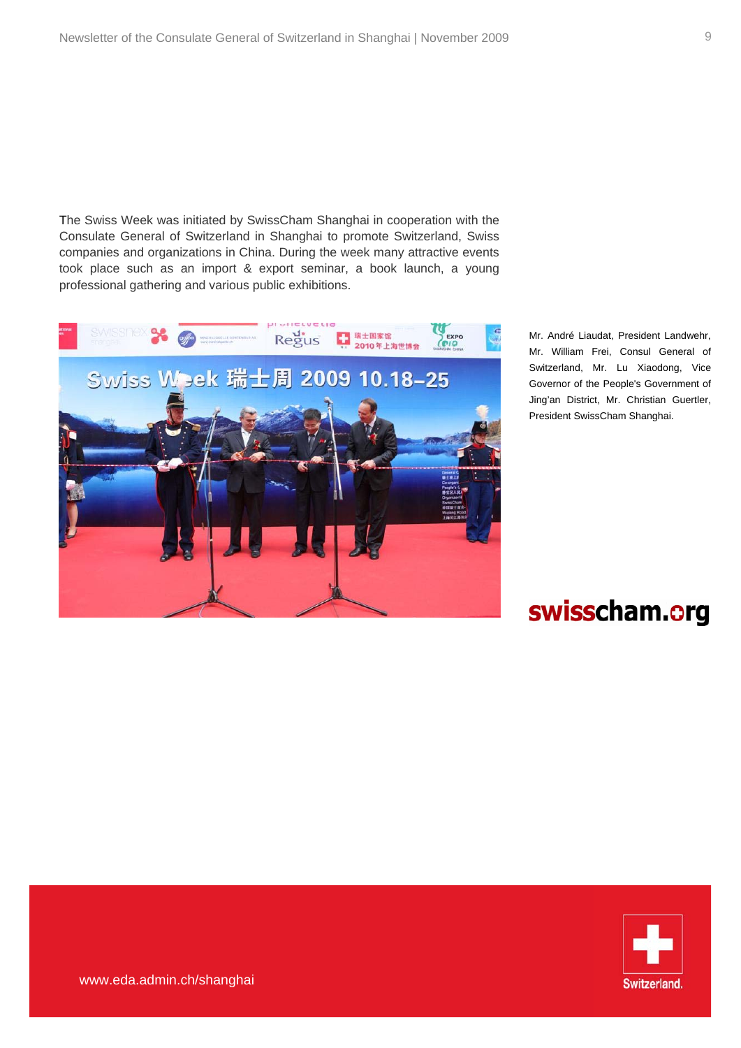The Swiss Week was initiated by SwissCham Shanghai in cooperation with the Consulate General of Switzerland in Shanghai to promote Switzerland, Swiss companies and organizations in China. During the week many attractive events took place such as an import & export seminar, a book launch, a young professional gathering and various public exhibitions.



Mr. André Liaudat, President Landwehr, Mr. William Frei, Consul General of Switzerland, Mr. Lu Xiaodong, Vice Governor of the People's Government of Jing'an District, Mr. Christian Guertler, President SwissCham Shanghai.

## swisscham.org

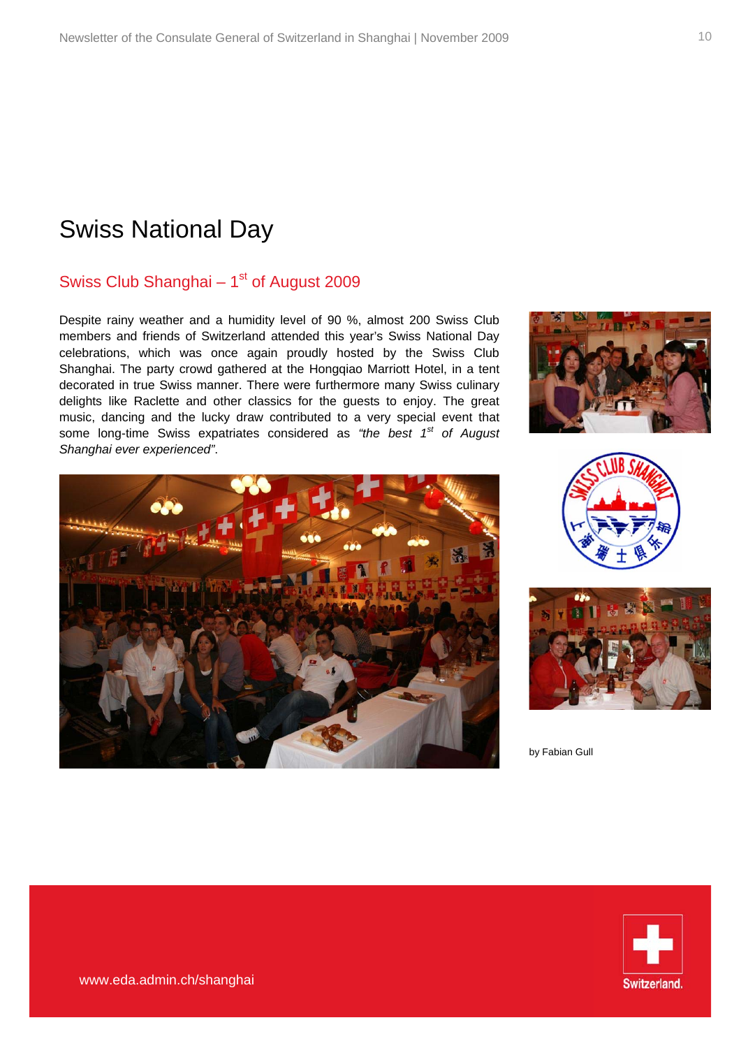### Swiss National Day

### Swiss Club Shanghai  $-1<sup>st</sup>$  of August 2009

Despite rainy weather and a humidity level of 90 %, almost 200 Swiss Club members and friends of Switzerland attended this year's Swiss National Day celebrations, which was once again proudly hosted by the Swiss Club Shanghai. The party crowd gathered at the Hongqiao Marriott Hotel, in a tent decorated in true Swiss manner. There were furthermore many Swiss culinary delights like Raclette and other classics for the guests to enjoy. The great music, dancing and the lucky draw contributed to a very special event that some long-time Swiss expatriates considered as *"the best 1st of August Shanghai ever experienced"*.







by Fabian Gull

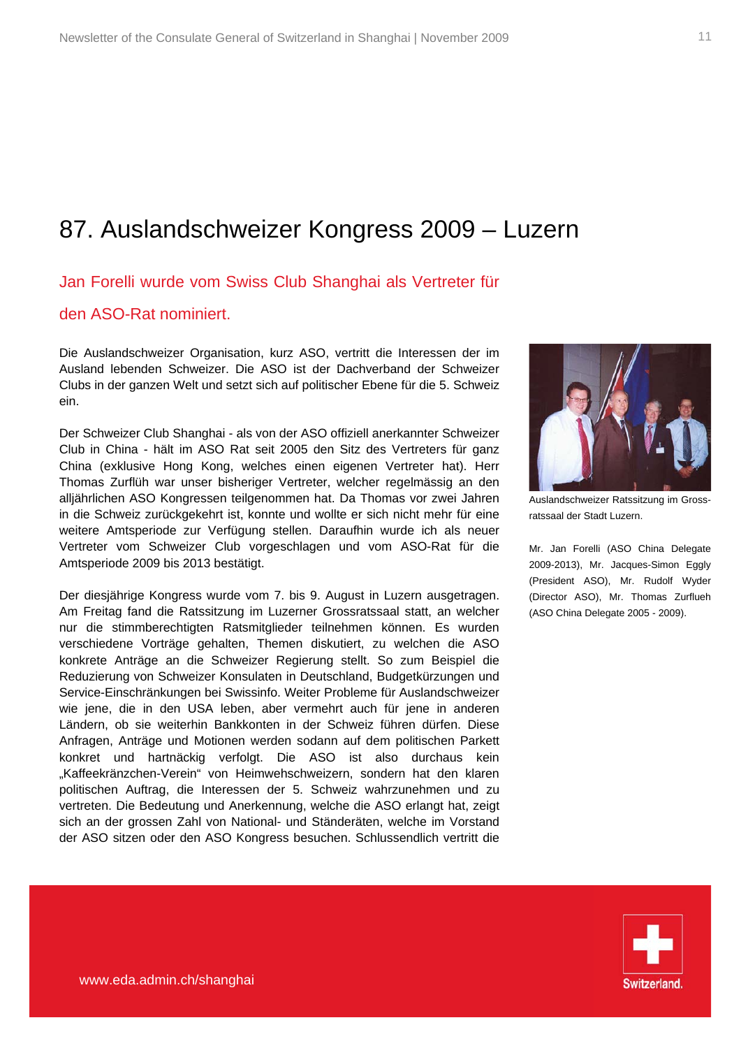### 87. Auslandschweizer Kongress 2009 – Luzern

#### Jan Forelli wurde vom Swiss Club Shanghai als Vertreter für

#### den ASO-Rat nominiert.

Die Auslandschweizer Organisation, kurz ASO, vertritt die Interessen der im Ausland lebenden Schweizer. Die ASO ist der Dachverband der Schweizer Clubs in der ganzen Welt und setzt sich auf politischer Ebene für die 5. Schweiz ein.

Der Schweizer Club Shanghai - als von der ASO offiziell anerkannter Schweizer Club in China - hält im ASO Rat seit 2005 den Sitz des Vertreters für ganz China (exklusive Hong Kong, welches einen eigenen Vertreter hat). Herr Thomas Zurflüh war unser bisheriger Vertreter, welcher regelmässig an den alljährlichen ASO Kongressen teilgenommen hat. Da Thomas vor zwei Jahren in die Schweiz zurückgekehrt ist, konnte und wollte er sich nicht mehr für eine weitere Amtsperiode zur Verfügung stellen. Daraufhin wurde ich als neuer Vertreter vom Schweizer Club vorgeschlagen und vom ASO-Rat für die Amtsperiode 2009 bis 2013 bestätigt.

Der diesjährige Kongress wurde vom 7. bis 9. August in Luzern ausgetragen. Am Freitag fand die Ratssitzung im Luzerner Grossratssaal statt, an welcher nur die stimmberechtigten Ratsmitglieder teilnehmen können. Es wurden verschiedene Vorträge gehalten, Themen diskutiert, zu welchen die ASO konkrete Anträge an die Schweizer Regierung stellt. So zum Beispiel die Reduzierung von Schweizer Konsulaten in Deutschland, Budgetkürzungen und Service-Einschränkungen bei Swissinfo. Weiter Probleme für Auslandschweizer wie jene, die in den USA leben, aber vermehrt auch für jene in anderen Ländern, ob sie weiterhin Bankkonten in der Schweiz führen dürfen. Diese Anfragen, Anträge und Motionen werden sodann auf dem politischen Parkett konkret und hartnäckig verfolgt. Die ASO ist also durchaus kein "Kaffeekränzchen-Verein" von Heimwehschweizern, sondern hat den klaren politischen Auftrag, die Interessen der 5. Schweiz wahrzunehmen und zu vertreten. Die Bedeutung und Anerkennung, welche die ASO erlangt hat, zeigt sich an der grossen Zahl von National- und Ständeräten, welche im Vorstand der ASO sitzen oder den ASO Kongress besuchen. Schlussendlich vertritt die



Auslandschweizer Ratssitzung im Grossratssaal der Stadt Luzern.

Mr. Jan Forelli (ASO China Delegate 2009-2013), Mr. Jacques-Simon Eggly (President ASO), Mr. Rudolf Wyder (Director ASO), Mr. Thomas Zurflueh (ASO China Delegate 2005 - 2009).

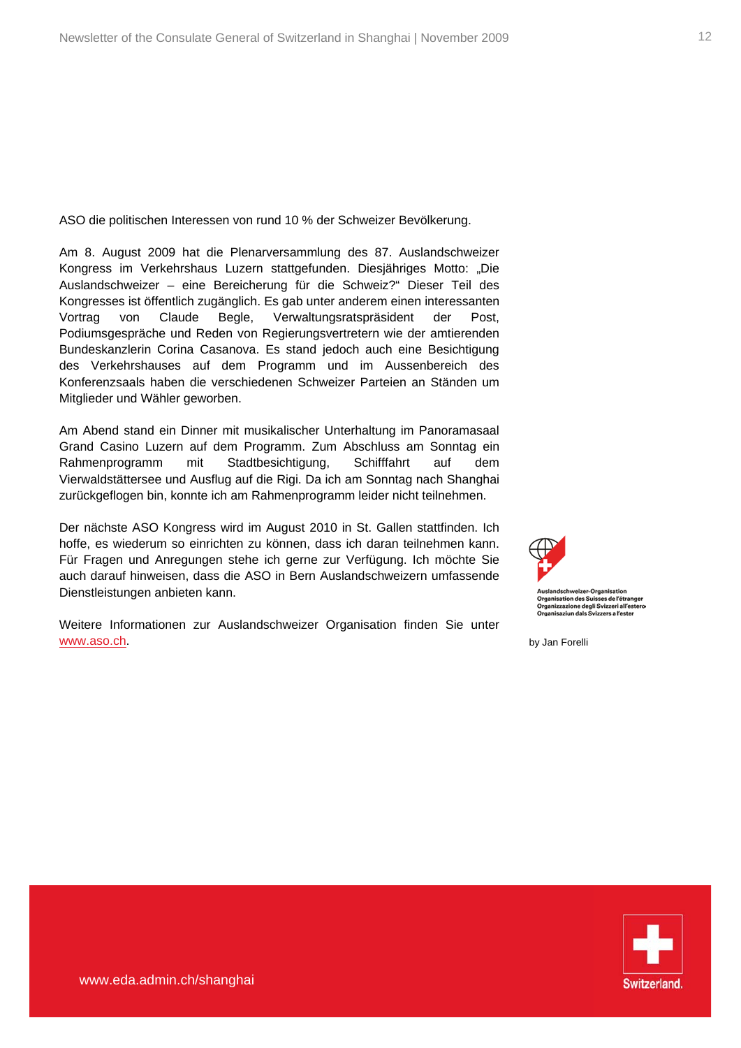ASO die politischen Interessen von rund 10 % der Schweizer Bevölkerung.

Am 8. August 2009 hat die Plenarversammlung des 87. Auslandschweizer Kongress im Verkehrshaus Luzern stattgefunden. Diesjähriges Motto: "Die Auslandschweizer – eine Bereicherung für die Schweiz?" Dieser Teil des Kongresses ist öffentlich zugänglich. Es gab unter anderem einen interessanten Vortrag von Claude Begle, Verwaltungsratspräsident der Post, Podiumsgespräche und Reden von Regierungsvertretern wie der amtierenden Bundeskanzlerin Corina Casanova. Es stand jedoch auch eine Besichtigung des Verkehrshauses auf dem Programm und im Aussenbereich des Konferenzsaals haben die verschiedenen Schweizer Parteien an Ständen um Mitglieder und Wähler geworben.

Am Abend stand ein Dinner mit musikalischer Unterhaltung im Panoramasaal Grand Casino Luzern auf dem Programm. Zum Abschluss am Sonntag ein Rahmenprogramm mit Stadtbesichtigung, Schifffahrt auf dem Vierwaldstättersee und Ausflug auf die Rigi. Da ich am Sonntag nach Shanghai zurückgeflogen bin, konnte ich am Rahmenprogramm leider nicht teilnehmen.

Der nächste ASO Kongress wird im August 2010 in St. Gallen stattfinden. Ich hoffe, es wiederum so einrichten zu können, dass ich daran teilnehmen kann. Für Fragen und Anregungen stehe ich gerne zur Verfügung. Ich möchte Sie auch darauf hinweisen, dass die ASO in Bern Auslandschweizern umfassende Dienstleistungen anbieten kann.

Weitere Informationen zur Auslandschweizer Organisation finden Sie unter [www.aso.ch.](http://www.aso.ch/) by Jan Forelli



r-Organ sation des Suisses de l'étranger izzazione degli Svizzeri all'estero ziun dals Svizzers a l'este

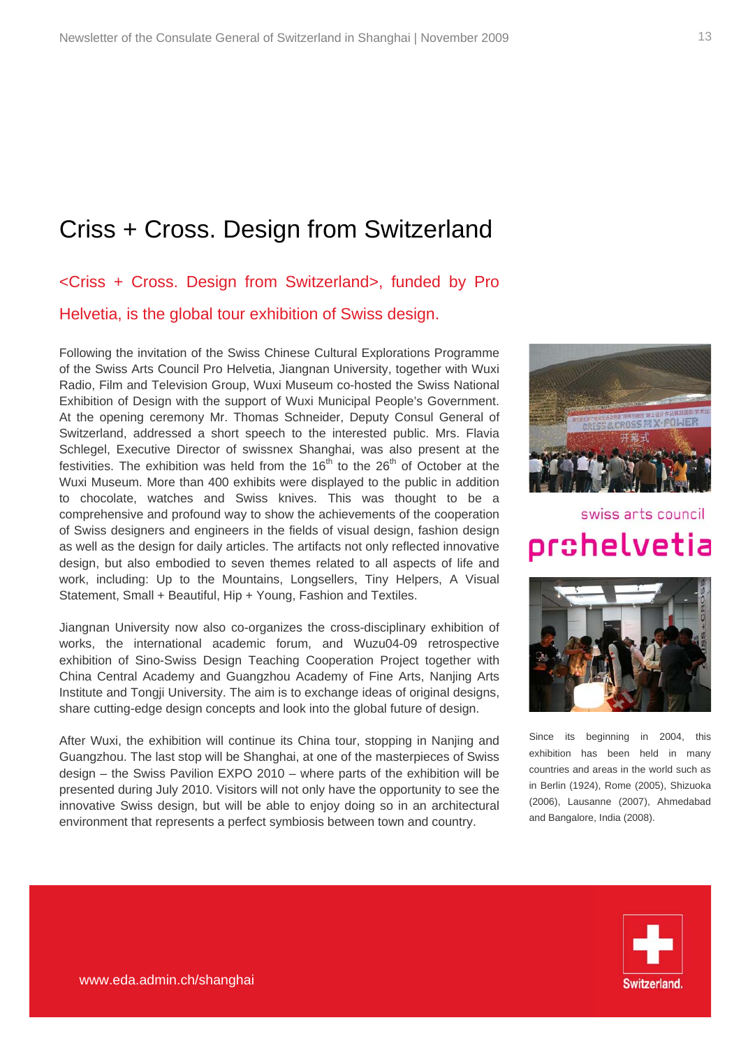### Criss + Cross. Design from Switzerland

<Criss + Cross. Design from Switzerland>, funded by Pro Helvetia, is the global tour exhibition of Swiss design.

Following the invitation of the Swiss Chinese Cultural Explorations Programme of the Swiss Arts Council Pro Helvetia, Jiangnan University, together with Wuxi Radio, Film and Television Group, Wuxi Museum co-hosted the Swiss National Exhibition of Design with the support of Wuxi Municipal People's Government. At the opening ceremony Mr. Thomas Schneider, Deputy Consul General of Switzerland, addressed a short speech to the interested public. Mrs. Flavia Schlegel, Executive Director of swissnex Shanghai, was also present at the festivities. The exhibition was held from the  $16<sup>th</sup>$  to the  $26<sup>th</sup>$  of October at the Wuxi Museum. More than 400 exhibits were displayed to the public in addition to chocolate, watches and Swiss knives. This was thought to be a comprehensive and profound way to show the achievements of the cooperation of Swiss designers and engineers in the fields of visual design, fashion design as well as the design for daily articles. The artifacts not only reflected innovative design, but also embodied to seven themes related to all aspects of life and work, including: Up to the Mountains, Longsellers, Tiny Helpers, A Visual Statement, Small + Beautiful, Hip + Young, Fashion and Textiles.

Jiangnan University now also co-organizes the cross-disciplinary exhibition of works, the international academic forum, and Wuzu04-09 retrospective exhibition of Sino-Swiss Design Teaching Cooperation Project together with China Central Academy and Guangzhou Academy of Fine Arts, Nanjing Arts Institute and Tongji University. The aim is to exchange ideas of original designs, share cutting-edge design concepts and look into the global future of design.

After Wuxi, the exhibition will continue its China tour, stopping in Nanjing and Guangzhou. The last stop will be Shanghai, at one of the masterpieces of Swiss design – the Swiss Pavilion EXPO 2010 – where parts of the exhibition will be presented during July 2010. Visitors will not only have the opportunity to see the innovative Swiss design, but will be able to enjoy doing so in an architectural environment that represents a perfect symbiosis between town and country.



## swiss arts council pr ${\tt s}$ helvetia



Since its beginning in 2004, this exhibition has been held in many countries and areas in the world such as in Berlin (1924), Rome (2005), Shizuoka (2006), Lausanne (2007), Ahmedabad and Bangalore, India (2008).

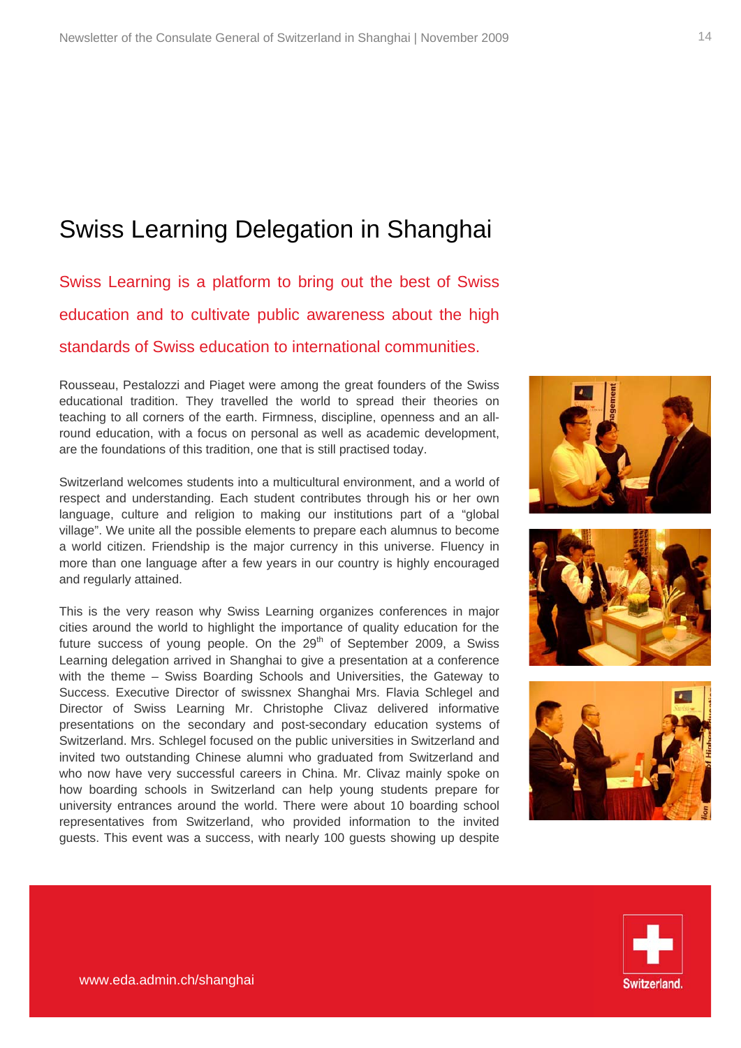### Swiss Learning Delegation in Shanghai

Swiss Learning is a platform to bring out the best of Swiss education and to cultivate public awareness about the high standards of Swiss education to international communities.

Rousseau, Pestalozzi and Piaget were among the great founders of the Swiss educational tradition. They travelled the world to spread their theories on teaching to all corners of the earth. Firmness, discipline, openness and an allround education, with a focus on personal as well as academic development, are the foundations of this tradition, one that is still practised today.

Switzerland welcomes students into a multicultural environment, and a world of respect and understanding. Each student contributes through his or her own language, culture and religion to making our institutions part of a "global village". We unite all the possible elements to prepare each alumnus to become a world citizen. Friendship is the major currency in this universe. Fluency in more than one language after a few years in our country is highly encouraged and regularly attained.

This is the very reason why Swiss Learning organizes conferences in major cities around the world to highlight the importance of quality education for the future success of young people. On the  $29<sup>th</sup>$  of September 2009, a Swiss Learning delegation arrived in Shanghai to give a presentation at a conference with the theme – Swiss Boarding Schools and Universities, the Gateway to Success. Executive Director of swissnex Shanghai Mrs. Flavia Schlegel and Director of Swiss Learning Mr. Christophe Clivaz delivered informative presentations on the secondary and post-secondary education systems of Switzerland. Mrs. Schlegel focused on the public universities in Switzerland and invited two outstanding Chinese alumni who graduated from Switzerland and who now have very successful careers in China. Mr. Clivaz mainly spoke on how boarding schools in Switzerland can help young students prepare for university entrances around the world. There were about 10 boarding school representatives from Switzerland, who provided information to the invited guests. This event was a success, with nearly 100 guests showing up despite







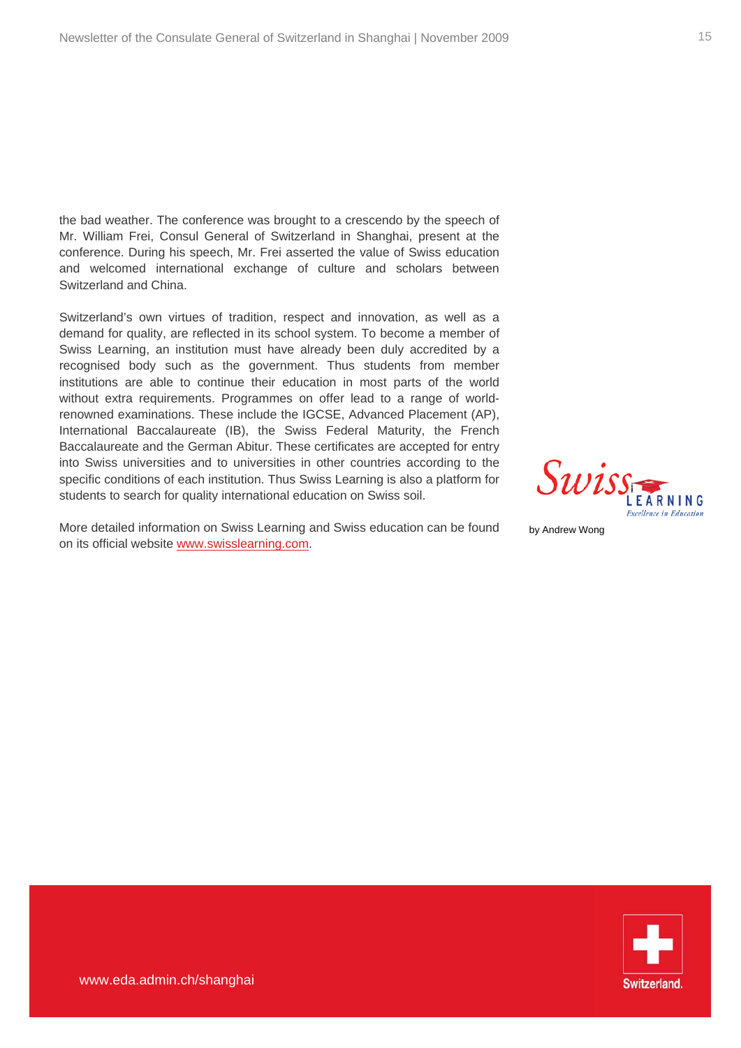the bad weather. The conference was brought to a crescendo by the speech of Mr. William Frei, Consul General of Switzerland in Shanghai, present at the conference. During his speech, Mr. Frei asserted the value of Swiss education and welcomed international exchange of culture and scholars between Switzerland and China.

Switzerland's own virtues of tradition, respect and innovation, as well as a demand for quality, are reflected in its school system. To become a member of Swiss Learning, an institution must have already been duly accredited by a recognised body such as the government. Thus students from member institutions are able to continue their education in most parts of the world without extra requirements. Programmes on offer lead to a range of worldrenowned examinations. These include the IGCSE, Advanced Placement (AP), International Baccalaureate (IB), the Swiss Federal Maturity, the French Baccalaureate and the German Abitur. These certificates are accepted for entry into Swiss universities and to universities in other countries according to the specific conditions of each institution. Thus Swiss Learning is also a platform for students to search for quality international education on Swiss soil.

More detailed information on Swiss Learning and Swiss education can be found on its official website [www.swisslearning.com](http://www.swisslearning.com/).

by Andrew Wong

Swiss

FARNING cellence in Education

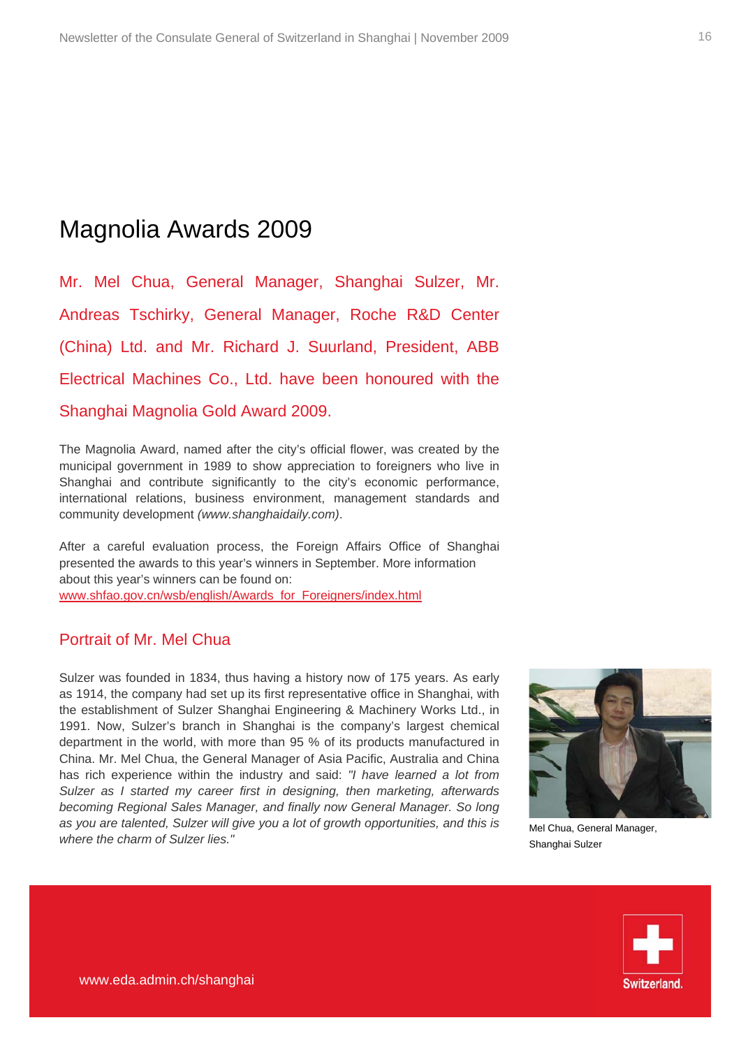### Magnolia Awards 2009

Mr. Mel Chua, General Manager, Shanghai Sulzer, Mr. Andreas Tschirky, General Manager, Roche R&D Center (China) Ltd. and Mr. Richard J. Suurland, President, ABB Electrical Machines Co., Ltd. have been honoured with the Shanghai Magnolia Gold Award 2009.

The Magnolia Award, named after the city's official flower, was created by the municipal government in 1989 to show appreciation to foreigners who live in Shanghai and contribute significantly to the city's economic performance, international relations, business environment, management standards and community development *(www.shanghaidaily.com)*.

After a careful evaluation process, the Foreign Affairs Office of Shanghai presented the awards to this year's winners in September. More information about this year's winners can be found on: [www.shfao.gov.cn/wsb/english/Awards\\_for\\_Foreigners/index.html](http://www.shfao.gov.cn/wsb/english/Awards_for_Foreigners/index.html)

#### Portrait of Mr. Mel Chua

Sulzer was founded in 1834, thus having a history now of 175 years. As early as 1914, the company had set up its first representative office in Shanghai, with the establishment of Sulzer Shanghai Engineering & Machinery Works Ltd., in 1991. Now, Sulzer's branch in Shanghai is the company's largest chemical department in the world, with more than 95 % of its products manufactured in China. Mr. Mel Chua, the General Manager of Asia Pacific, Australia and China has rich experience within the industry and said: *"I have learned a lot from Sulzer as I started my career first in designing, then marketing, afterwards becoming Regional Sales Manager, and finally now General Manager. So long as you are talented, Sulzer will give you a lot of growth opportunities, and this is where the charm of Sulzer lies."*



Mel Chua, General Manager, Shanghai Sulzer

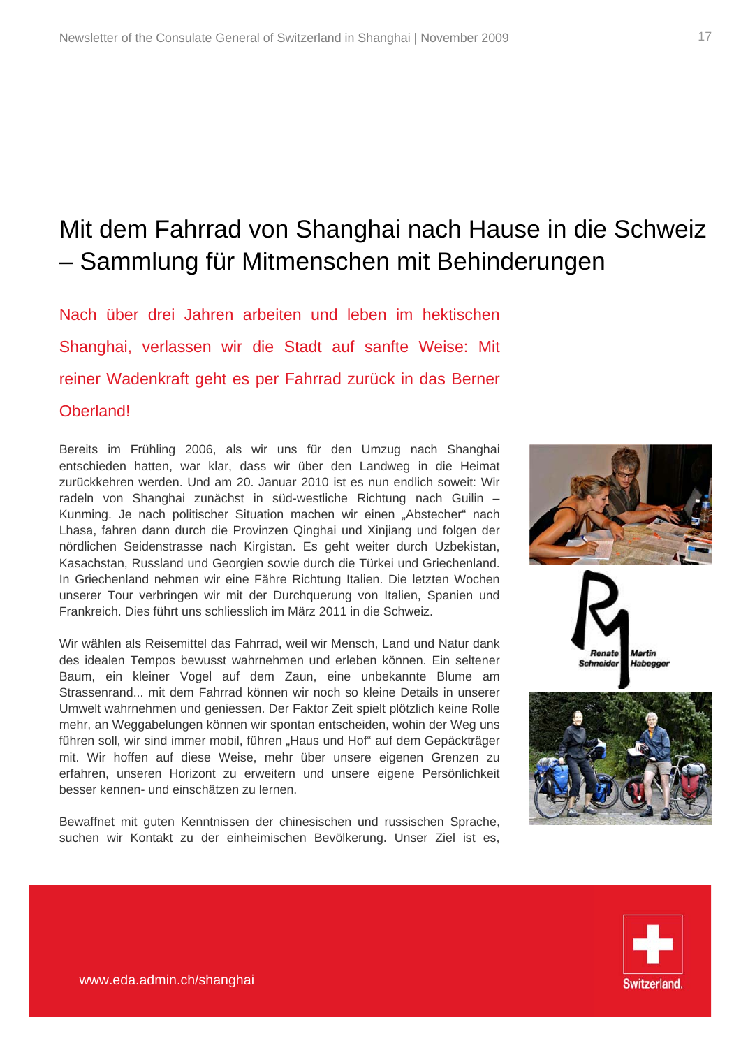## Mit dem Fahrrad von Shanghai nach Hause in die Schweiz – Sammlung für Mitmenschen mit Behinderungen

Nach über drei Jahren arbeiten und leben im hektischen Shanghai, verlassen wir die Stadt auf sanfte Weise: Mit reiner Wadenkraft geht es per Fahrrad zurück in das Berner Oberland!

Bereits im Frühling 2006, als wir uns für den Umzug nach Shanghai entschieden hatten, war klar, dass wir über den Landweg in die Heimat zurückkehren werden. Und am 20. Januar 2010 ist es nun endlich soweit: Wir radeln von Shanghai zunächst in süd-westliche Richtung nach Guilin – Kunming. Je nach politischer Situation machen wir einen "Abstecher" nach Lhasa, fahren dann durch die Provinzen Qinghai und Xinjiang und folgen der nördlichen Seidenstrasse nach Kirgistan. Es geht weiter durch Uzbekistan, Kasachstan, Russland und Georgien sowie durch die Türkei und Griechenland. In Griechenland nehmen wir eine Fähre Richtung Italien. Die letzten Wochen unserer Tour verbringen wir mit der Durchquerung von Italien, Spanien und Frankreich. Dies führt uns schliesslich im März 2011 in die Schweiz.

Wir wählen als Reisemittel das Fahrrad, weil wir Mensch, Land und Natur dank des idealen Tempos bewusst wahrnehmen und erleben können. Ein seltener Baum, ein kleiner Vogel auf dem Zaun, eine unbekannte Blume am Strassenrand... mit dem Fahrrad können wir noch so kleine Details in unserer Umwelt wahrnehmen und geniessen. Der Faktor Zeit spielt plötzlich keine Rolle mehr, an Weggabelungen können wir spontan entscheiden, wohin der Weg uns führen soll, wir sind immer mobil, führen "Haus und Hof" auf dem Gepäckträger mit. Wir hoffen auf diese Weise, mehr über unsere eigenen Grenzen zu erfahren, unseren Horizont zu erweitern und unsere eigene Persönlichkeit besser kennen- und einschätzen zu lernen.

Bewaffnet mit guten Kenntnissen der chinesischen und russischen Sprache, suchen wir Kontakt zu der einheimischen Bevölkerung. Unser Ziel ist es,







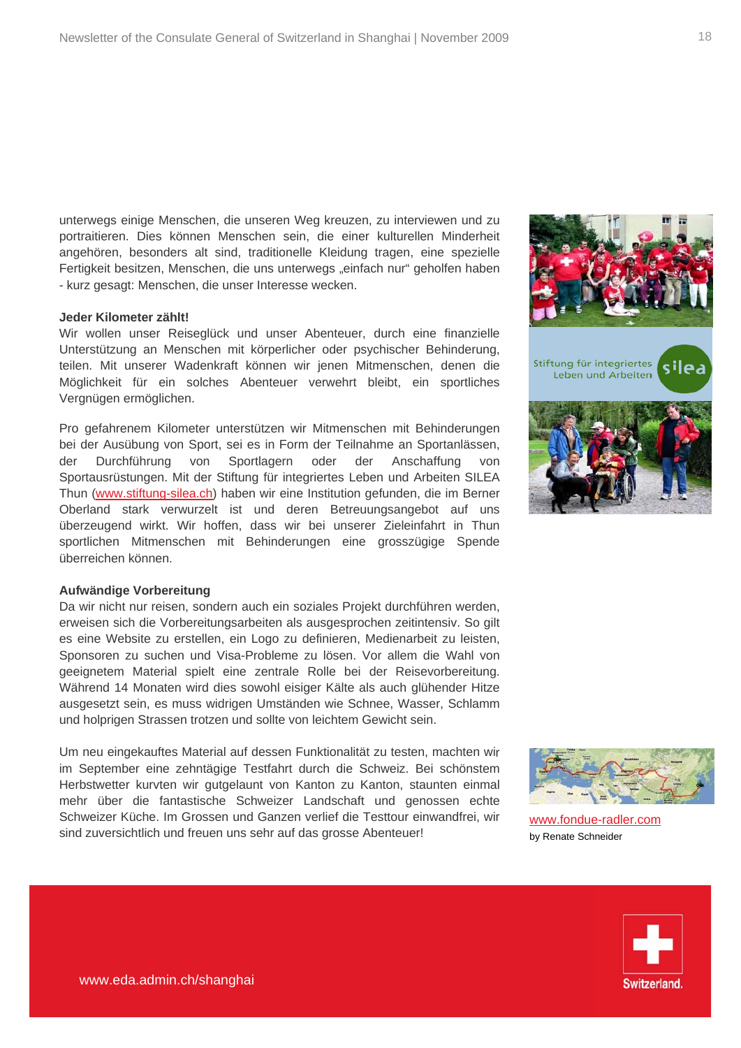unterwegs einige Menschen, die unseren Weg kreuzen, zu interviewen und zu portraitieren. Dies können Menschen sein, die einer kulturellen Minderheit angehören, besonders alt sind, traditionelle Kleidung tragen, eine spezielle Fertigkeit besitzen, Menschen, die uns unterwegs "einfach nur" geholfen haben - kurz gesagt: Menschen, die unser Interesse wecken.

#### **Jeder Kilometer zählt!**

Wir wollen unser Reiseglück und unser Abenteuer, durch eine finanzielle Unterstützung an Menschen mit körperlicher oder psychischer Behinderung, teilen. Mit unserer Wadenkraft können wir jenen Mitmenschen, denen die Möglichkeit für ein solches Abenteuer verwehrt bleibt, ein sportliches Vergnügen ermöglichen.

Pro gefahrenem Kilometer unterstützen wir Mitmenschen mit Behinderungen bei der Ausübung von Sport, sei es in Form der Teilnahme an Sportanlässen, der Durchführung von Sportlagern oder der Anschaffung von Sportausrüstungen. Mit der Stiftung für integriertes Leben und Arbeiten SILEA Thun [\(www.stiftung-silea.ch](http://www.stiftung-silea.ch/)) haben wir eine Institution gefunden, die im Berner Oberland stark verwurzelt ist und deren Betreuungsangebot auf uns überzeugend wirkt. Wir hoffen, dass wir bei unserer Zieleinfahrt in Thun sportlichen Mitmenschen mit Behinderungen eine grosszügige Spende überreichen können.

#### **Aufwändige Vorbereitung**

Da wir nicht nur reisen, sondern auch ein soziales Projekt durchführen werden, erweisen sich die Vorbereitungsarbeiten als ausgesprochen zeitintensiv. So gilt es eine Website zu erstellen, ein Logo zu definieren, Medienarbeit zu leisten, Sponsoren zu suchen und Visa-Probleme zu lösen. Vor allem die Wahl von geeignetem Material spielt eine zentrale Rolle bei der Reisevorbereitung. Während 14 Monaten wird dies sowohl eisiger Kälte als auch glühender Hitze ausgesetzt sein, es muss widrigen Umständen wie Schnee, Wasser, Schlamm und holprigen Strassen trotzen und sollte von leichtem Gewicht sein.

Um neu eingekauftes Material auf dessen Funktionalität zu testen, machten wir im September eine zehntägige Testfahrt durch die Schweiz. Bei schönstem Herbstwetter kurvten wir gutgelaunt von Kanton zu Kanton, staunten einmal mehr über die fantastische Schweizer Landschaft und genossen echte Schweizer Küche. Im Grossen und Ganzen verlief die Testtour einwandfrei, wir sind zuversichtlich und freuen uns sehr auf das grosse Abenteuer!







[www.fondue-radler.com](http://www.fondue-radler.com/) by Renate Schneider

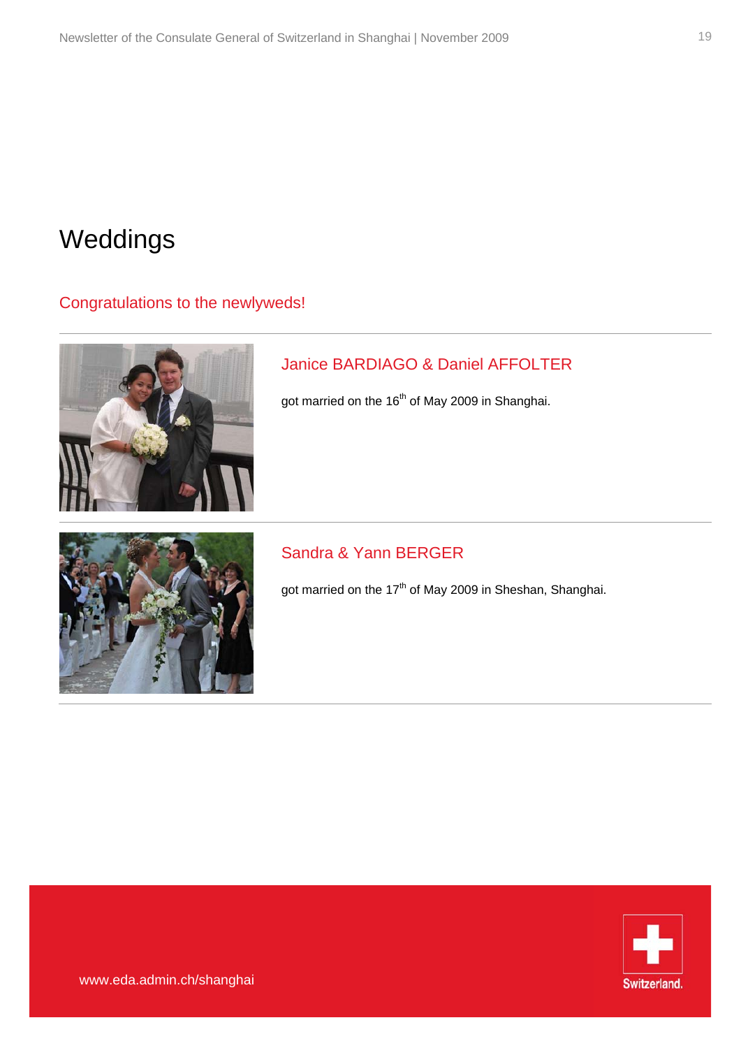## Weddings

#### Congratulations to the newlyweds!



### Janice BARDIAGO & Daniel AFFOLTER

got married on the 16<sup>th</sup> of May 2009 in Shanghai.



### Sandra & Yann BERGER

got married on the 17<sup>th</sup> of May 2009 in Sheshan, Shanghai.

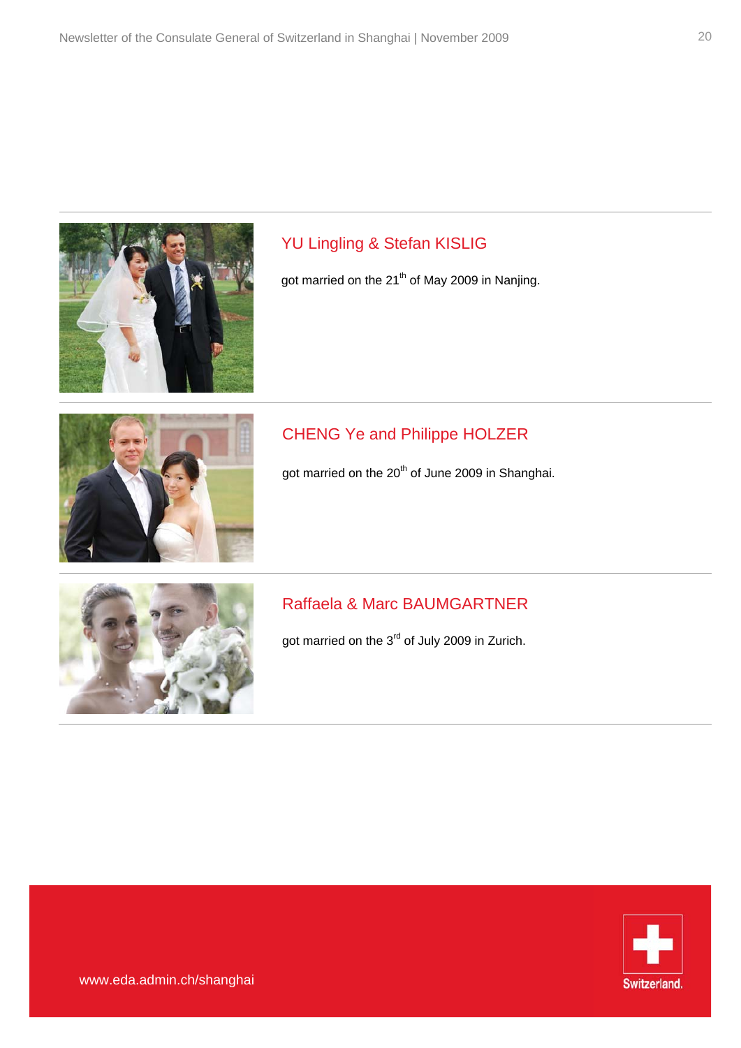

### YU Lingling & Stefan KISLIG

got married on the 21<sup>th</sup> of May 2009 in Nanjing.



### CHENG Ye and Philippe HOLZER

got married on the 20<sup>th</sup> of June 2009 in Shanghai.



### Raffaela & Marc BAUMGARTNER

got married on the 3<sup>rd</sup> of July 2009 in Zurich.

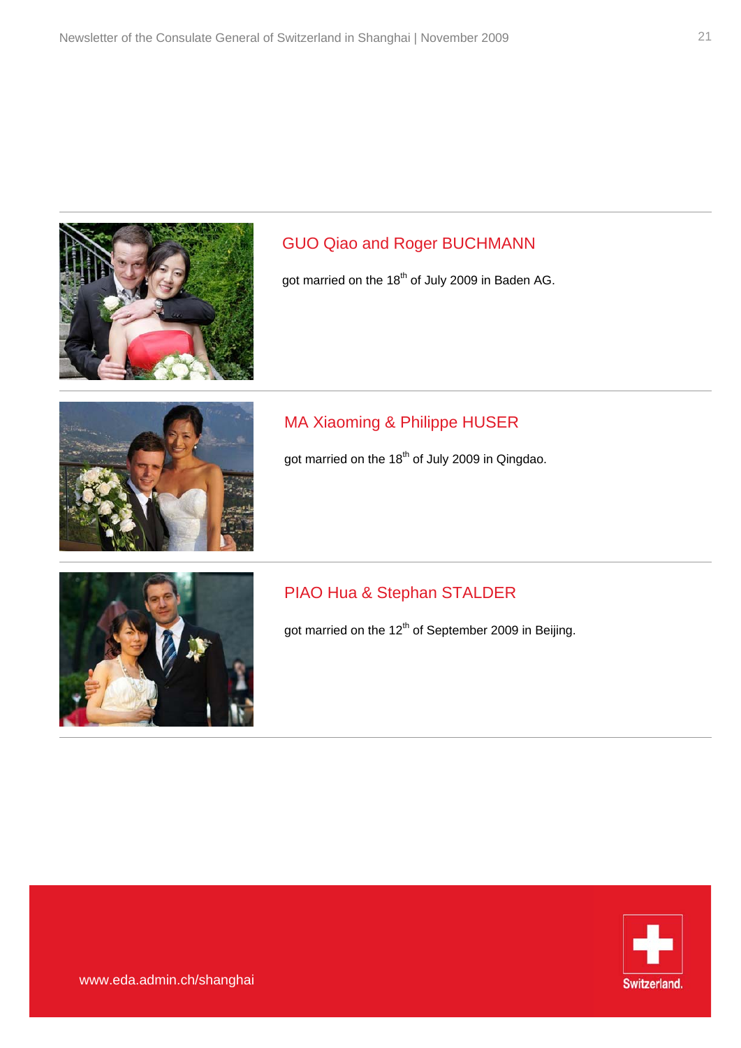

#### GUO Qiao and Roger BUCHMANN

got married on the 18<sup>th</sup> of July 2009 in Baden AG.



#### MA Xiaoming & Philippe HUSER

got married on the 18<sup>th</sup> of July 2009 in Qingdao.



#### PIAO Hua & Stephan STALDER

got married on the 12<sup>th</sup> of September 2009 in Beijing.

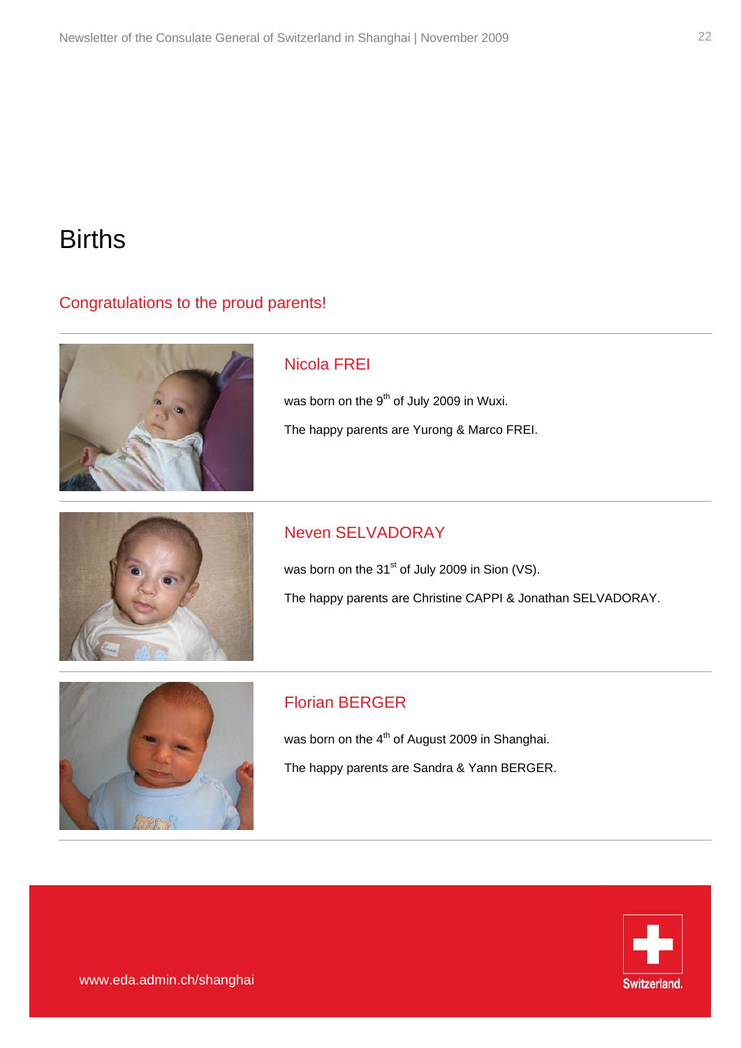## **Births**

#### Congratulations to the proud parents!



### Nicola FREI

was born on the 9<sup>th</sup> of July 2009 in Wuxi. The happy parents are Yurong & Marco FREI.



### Neven SELVADORAY

was born on the  $31<sup>st</sup>$  of July 2009 in Sion (VS). The happy parents are Christine CAPPI & Jonathan SELVADORAY.



#### Florian BERGER

was born on the  $4<sup>th</sup>$  of August 2009 in Shanghai. The happy parents are Sandra & Yann BERGER.

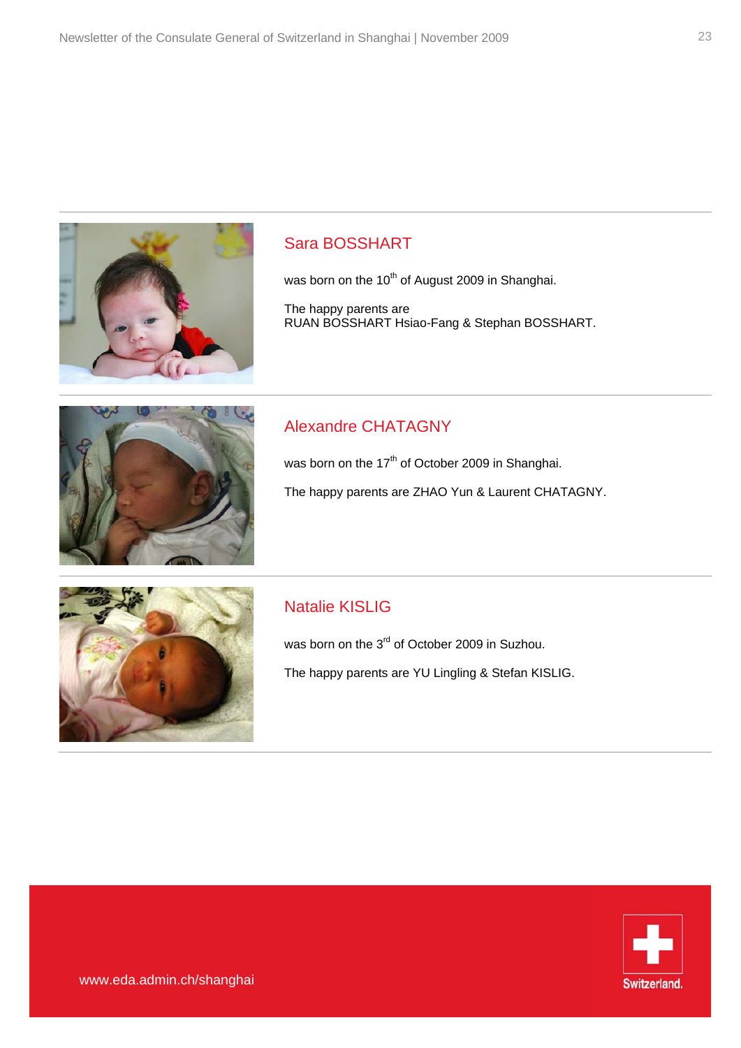

#### Sara BOSSHART

was born on the  $10^{th}$  of August 2009 in Shanghai.

The happy parents are RUAN BOSSHART Hsiao-Fang & Stephan BOSSHART.



### Alexandre CHATAGNY

was born on the 17<sup>th</sup> of October 2009 in Shanghai.

The happy parents are ZHAO Yun & Laurent CHATAGNY.



#### Natalie KISLIG

was born on the 3<sup>rd</sup> of October 2009 in Suzhou. The happy parents are YU Lingling & Stefan KISLIG.

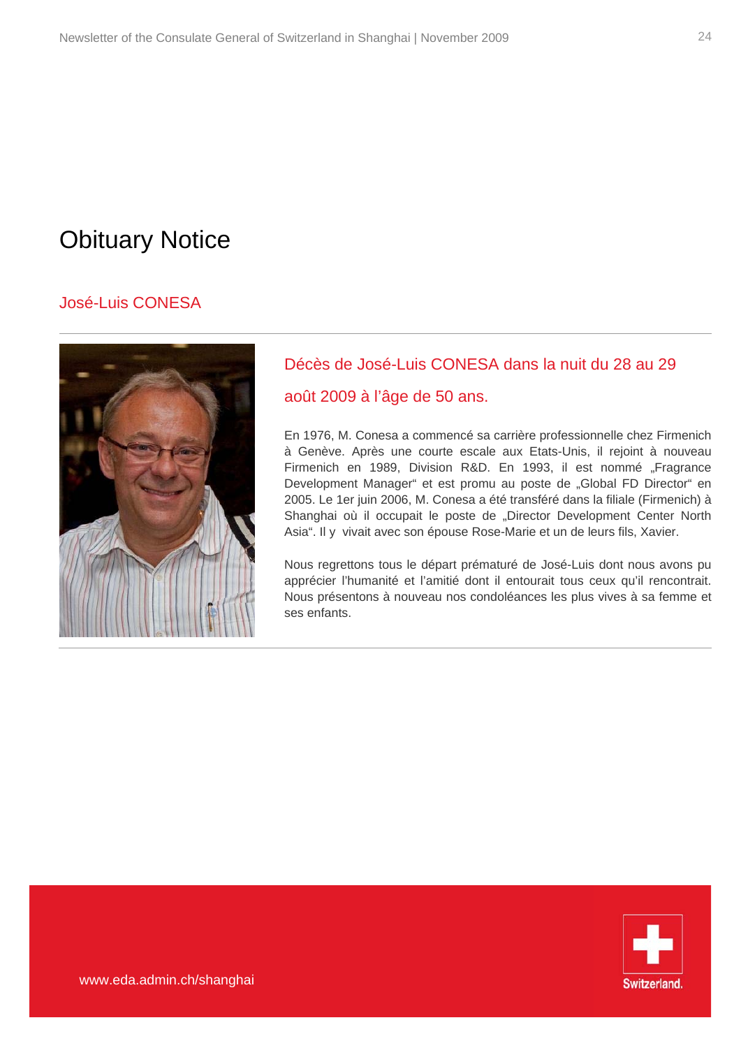## Obituary Notice

#### José-Luis CONESA



### Décès de José-Luis CONESA dans la nuit du 28 au 29

#### août 2009 à l'âge de 50 ans.

En 1976, M. Conesa a commencé sa carrière professionnelle chez Firmenich à Genève. Après une courte escale aux Etats-Unis, il rejoint à nouveau Firmenich en 1989, Division R&D. En 1993, il est nommé "Fragrance Development Manager" et est promu au poste de "Global FD Director" en 2005. Le 1er juin 2006, M. Conesa a été transféré dans la filiale (Firmenich) à Shanghai où il occupait le poste de "Director Development Center North Asia". Il y vivait avec son épouse Rose-Marie et un de leurs fils, Xavier.

Nous regrettons tous le départ prématuré de José-Luis dont nous avons pu apprécier l'humanité et l'amitié dont il entourait tous ceux qu'il rencontrait. Nous présentons à nouveau nos condoléances les plus vives à sa femme et ses enfants.

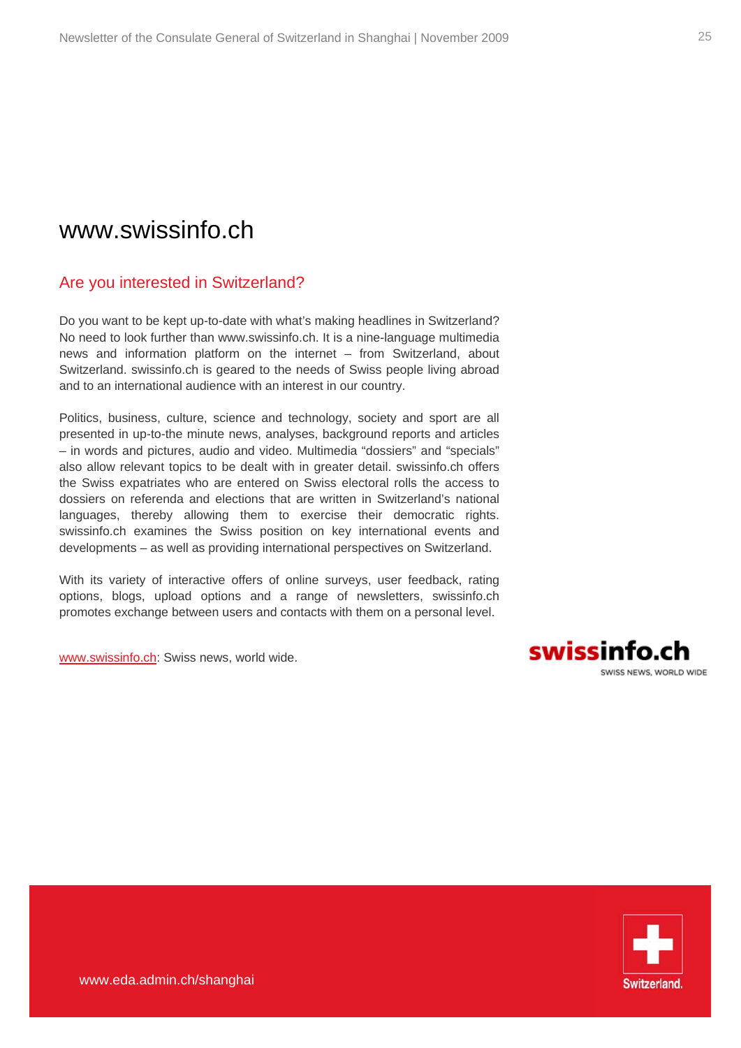### www.swissinfo.ch

#### Are you interested in Switzerland?

Do you want to be kept up-to-date with what's making headlines in Switzerland? No need to look further than www.swissinfo.ch. It is a nine-language multimedia news and information platform on the internet – from Switzerland, about Switzerland. swissinfo.ch is geared to the needs of Swiss people living abroad and to an international audience with an interest in our country.

Politics, business, culture, science and technology, society and sport are all presented in up-to-the minute news, analyses, background reports and articles – in words and pictures, audio and video. Multimedia "dossiers" and "specials" also allow relevant topics to be dealt with in greater detail. swissinfo.ch offers the Swiss expatriates who are entered on Swiss electoral rolls the access to dossiers on referenda and elections that are written in Switzerland's national languages, thereby allowing them to exercise their democratic rights. swissinfo.ch examines the Swiss position on key international events and developments – as well as providing international perspectives on Switzerland.

With its variety of interactive offers of online surveys, user feedback, rating options, blogs, upload options and a range of newsletters, swissinfo.ch promotes exchange between users and contacts with them on a personal level.

[www.swissinfo.ch:](http://www.swissinfo.ch/) Swiss news, world wide.



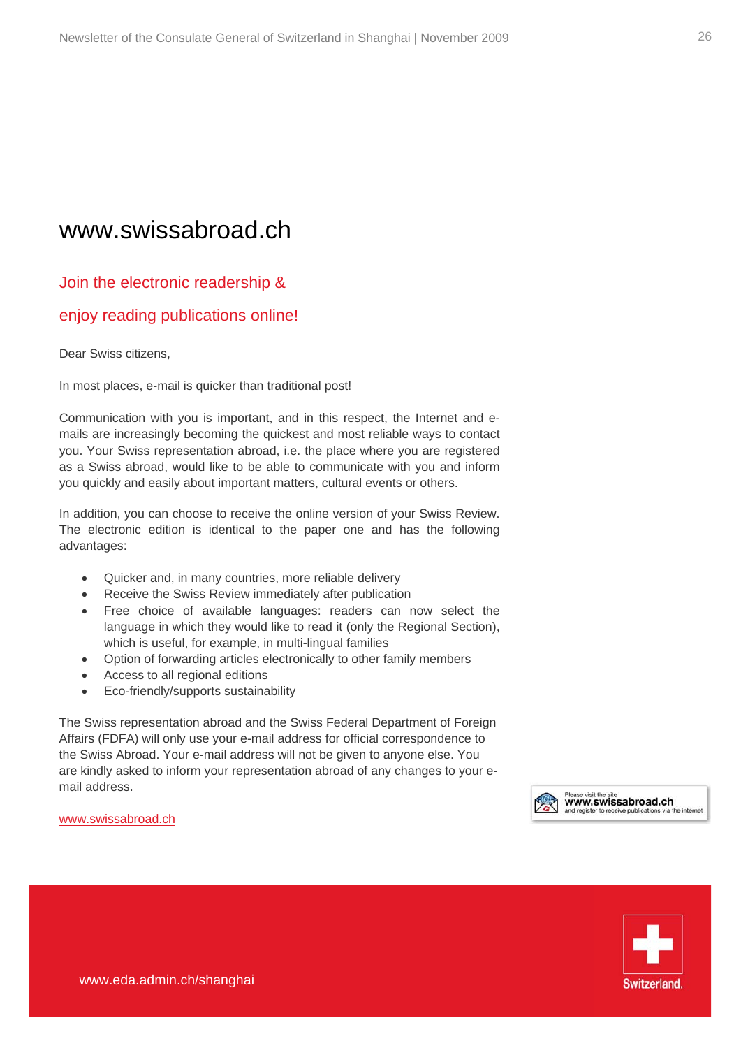### www.swissabroad.ch

#### Join the electronic readership &

#### enjoy reading publications online!

Dear Swiss citizens,

In most places, e-mail is quicker than traditional post!

Communication with you is important, and in this respect, the Internet and emails are increasingly becoming the quickest and most reliable ways to contact you. Your Swiss representation abroad, i.e. the place where you are registered as a Swiss abroad, would like to be able to communicate with you and inform you quickly and easily about important matters, cultural events or others.

In addition, you can choose to receive the online version of your [Swiss Review.](http://www.revue.ch/) The electronic edition is identical to the paper one and has the following advantages:

- Quicker and, in many countries, more reliable delivery
- Receive the Swiss Review immediately after publication
- Free choice of available languages: readers can now select the language in which they would like to read it (only the Regional Section), which is useful, for example, in multi-lingual families
- Option of forwarding articles electronically to other family members
- Access to all regional editions
- Eco-friendly/supports sustainability

The Swiss representation abroad and the Swiss Federal Department of Foreign Affairs (FDFA) will only use your e-mail address for official correspondence to the Swiss Abroad. Your e-mail address will not be given to anyone else. You are kindly asked to inform your representation abroad of any changes to your email address.

[www.swissabroad.ch](http://www.swissabroad.ch/)